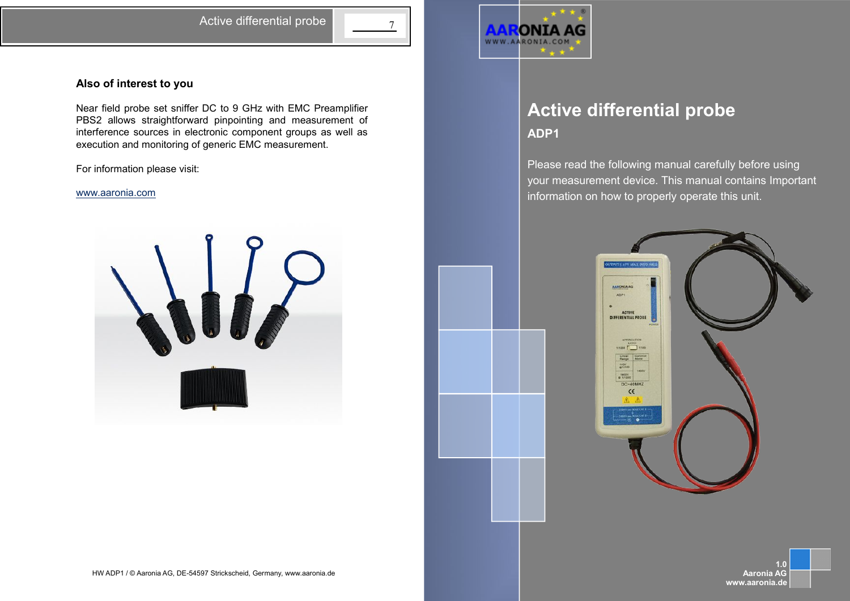Active differential probe  $\begin{array}{|c|c|}\n\hline\n\end{array}$ 

# **Also of interest to you**

Near field probe set sniffer DC to 9 GHz with EMC Preamplifier PBS2 allows straightforward pinpointing and measurement of interference sources in electronic component groups as well as execution and monitoring of generic EMC measurement.

For information please visit:

### [www.aaronia.com](http://www.aaronia.com/)





# Active differential probe **Active differential probe ADP1**

your measurement device. This manual contains Important information on how to properly operate this unit. Please read the following manual carefully before using



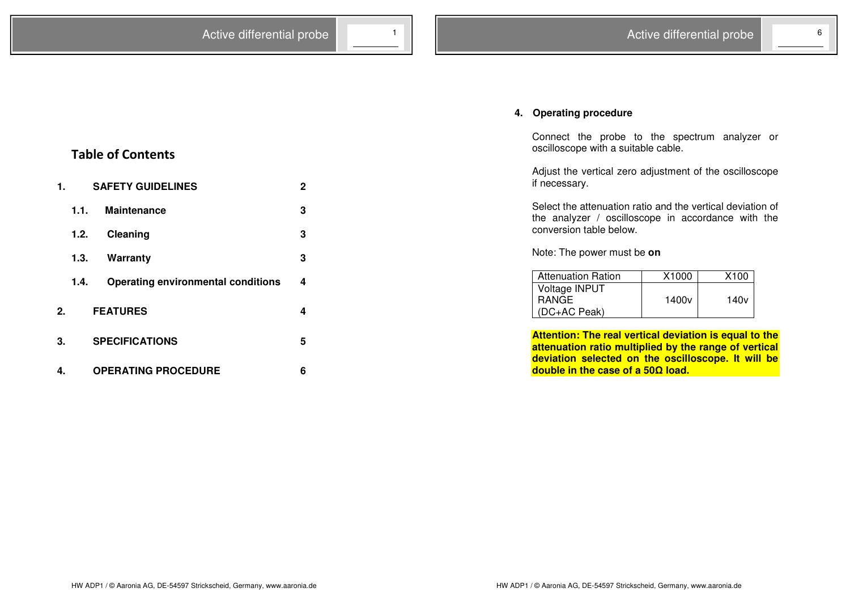# **4. Operating procedure**

Connect the probe to the spectrum analyzer or oscilloscope with a suitable cable.

Adjust the vertical zero adjustment of the oscilloscope if necessary.

Select the attenuation ratio and the vertical deviation of the analyzer / oscilloscope in accordance with the conversion table below.

Note: The power must be **on**

| <b>Attenuation Ration</b> | X1000             | X100             |
|---------------------------|-------------------|------------------|
| Voltage INPUT             |                   |                  |
| <b>RANGE</b>              | 1400 <sub>v</sub> | 140 <sub>v</sub> |
| (DC+AC Peak)              |                   |                  |

**Attention: The real vertical deviation is equal to the attenuation ratio multiplied by the range of vertical deviation selected on the oscilloscope. It will be double in the case of a 50 load.** 

# **Table of Contents**

| 1.      | <b>SAFETY GUIDELINES</b> |                                           |   |
|---------|--------------------------|-------------------------------------------|---|
|         | 1.1.                     | <b>Maintenance</b>                        | 3 |
|         | 1.2.                     | Cleaning                                  | 3 |
|         | 1.3.                     | Warranty                                  | 3 |
|         | 1.4.                     | <b>Operating environmental conditions</b> | 4 |
| $2_{-}$ |                          | <b>FEATURES</b>                           | 4 |
| 3.      |                          | <b>SPECIFICATIONS</b>                     | 5 |
| 4.      |                          | <b>OPERATING PROCEDURE</b>                | 6 |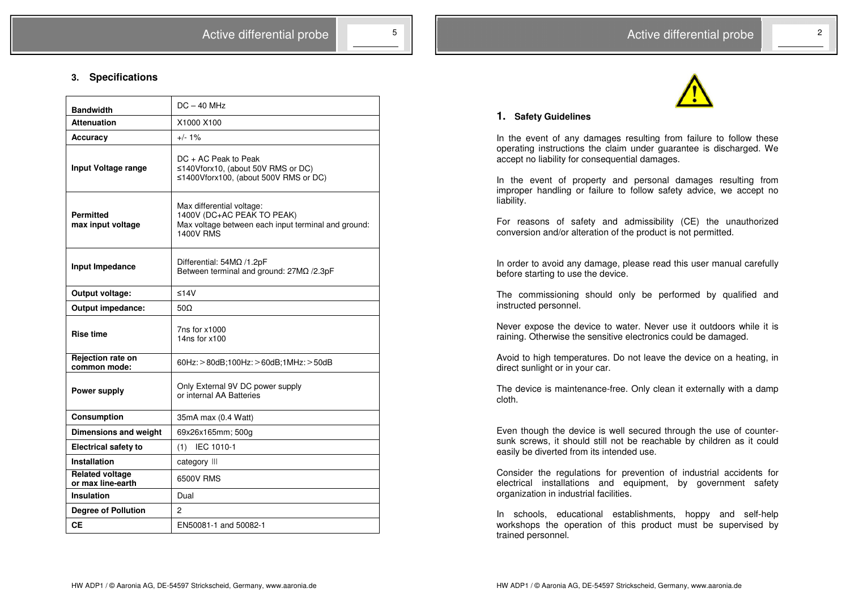

### **1. Safety Guidelines**

In the event of any damages resulting from failure to follow these operating instructions the claim under guarantee is discharged. We accept no liability for consequential damages.

In the event of property and personal damages resulting from improper handling or failure to follow safety advice, we accept no liability.

For reasons of safety and admissibility (CE) the unauthorized conversion and/or alteration of the product is not permitted.

In order to avoid any damage, please read this user manual carefully before starting to use the device.

The commissioning should only be performed by qualified and instructed personnel.

Never expose the device to water. Never use it outdoors while it is raining. Otherwise the sensitive electronics could be damaged.

Avoid to high temperatures. Do not leave the device on a heating, in direct sunlight or in your car.

The device is maintenance-free. Only clean it externally with a damp cloth.

Even though the device is well secured through the use of countersunk screws, it should still not be reachable by children as it could easily be diverted from its intended use.

Consider the regulations for prevention of industrial accidents for electrical installations and equipment, by government safety organization in industrial facilities.

In schools, educational establishments, hoppy and self-help workshops the operation of this product must be supervised by trained personnel.

### **3. Specifications**

| <b>Bandwidth</b>                            | $DC - 40 MHz$                                                                                                                      |  |
|---------------------------------------------|------------------------------------------------------------------------------------------------------------------------------------|--|
| <b>Attenuation</b>                          | X1000 X100                                                                                                                         |  |
| Accuracy                                    | $+/- 1%$                                                                                                                           |  |
| Input Voltage range                         | $DC + AC$ Peak to Peak<br>≤140Vforx10, (about 50V RMS or DC)<br>≤1400Vforx100, (about 500V RMS or DC)                              |  |
| <b>Permitted</b><br>max input voltage       | Max differential voltage:<br>1400V (DC+AC PEAK TO PEAK)<br>Max voltage between each input terminal and ground:<br><b>1400V RMS</b> |  |
| Input Impedance                             | Differential: 54MΩ /1.2pF<br>Between terminal and ground: 27MQ /2.3pF                                                              |  |
| Output voltage:                             | $≤14V$                                                                                                                             |  |
| Output impedance:                           | $50\Omega$                                                                                                                         |  |
| <b>Rise time</b>                            | 7ns for x1000<br>14 $ns$ for $x100$                                                                                                |  |
| Rejection rate on<br>common mode:           | 60Hz: > 80dB;100Hz: > 60dB;1MHz: > 50dB                                                                                            |  |
| Power supply                                | Only External 9V DC power supply<br>or internal AA Batteries                                                                       |  |
| Consumption                                 | 35mA max (0.4 Watt)                                                                                                                |  |
| <b>Dimensions and weight</b>                | 69x26x165mm; 500g                                                                                                                  |  |
| <b>Electrical safety to</b>                 | IEC 1010-1<br>(1)                                                                                                                  |  |
| Installation                                | category III                                                                                                                       |  |
| <b>Related voltage</b><br>or max line-earth | 6500V RMS                                                                                                                          |  |
| Insulation                                  | Dual                                                                                                                               |  |
| <b>Degree of Pollution</b>                  | $\overline{c}$                                                                                                                     |  |
| CЕ                                          | EN50081-1 and 50082-1                                                                                                              |  |